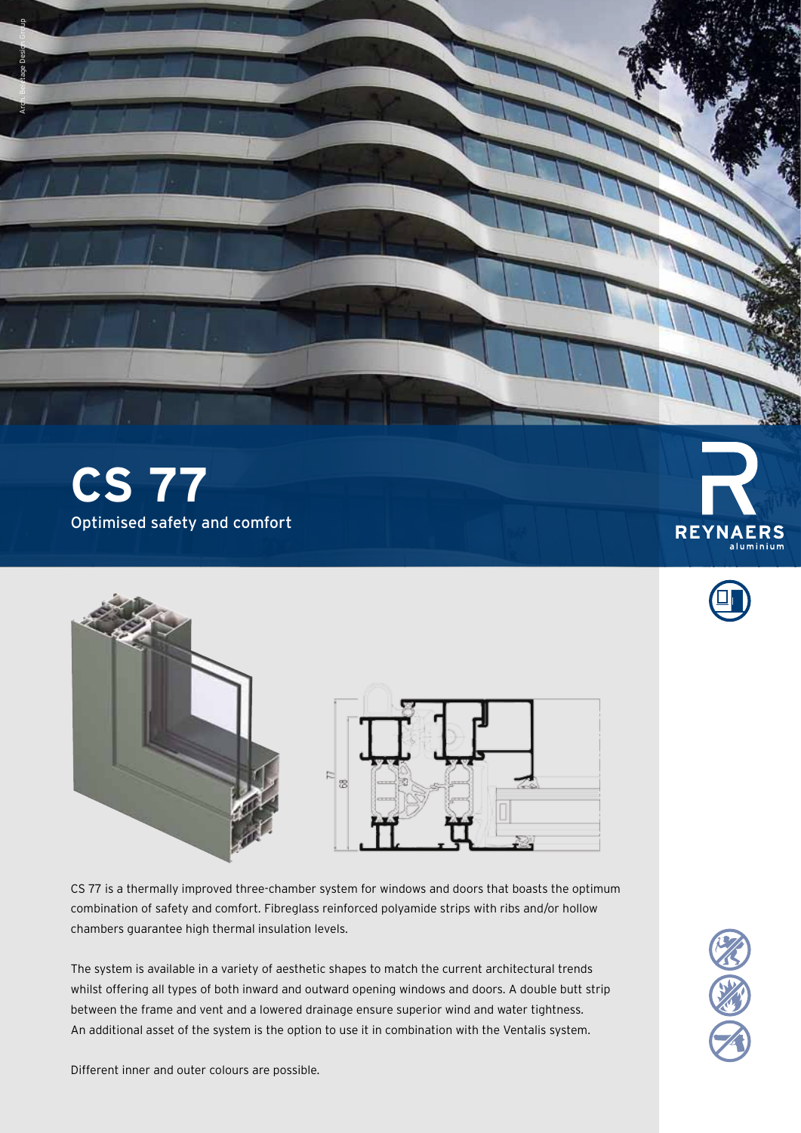

Arch. Beletage Design Group



CS 77 is a thermally improved three-chamber system for windows and doors that boasts the optimum combination of safety and comfort. Fibreglass reinforced polyamide strips with ribs and/or hollow chambers guarantee high thermal insulation levels.

The system is available in a variety of aesthetic shapes to match the current architectural trends whilst offering all types of both inward and outward opening windows and doors. A double butt strip between the frame and vent and a lowered drainage ensure superior wind and water tightness. An additional asset of the system is the option to use it in combination with the Ventalis system.



Different inner and outer colours are possible.